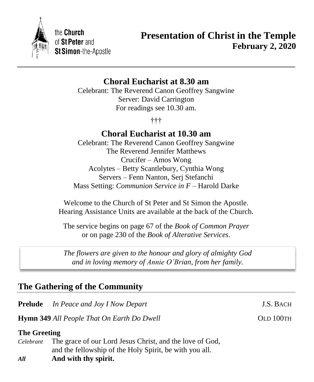

# **Choral Eucharist at 8.30 am**

Celebrant: The Reverend Canon Geoffrey Sangwine Server: David Carrington For readings see 10.30 am.

†††

# **Choral Eucharist at 10.30 am**

Celebrant: The Reverend Canon Geoffrey Sangwine The Reverend Jennifer Matthews Crucifer – Amos Wong Acolytes – Betty Scantlebury, Cynthia Wong Servers – Fenn Nanton, Serj Stefanchi Mass Setting: *Communion Service in F –* Harold Darke

Welcome to the Church of St Peter and St Simon the Apostle. Hearing Assistance Units are available at the back of the Church.

The service begins on page 67 of the *Book of Common Prayer* or on page 230 of the *Book of Alterative Services*.

*The flowers are given to the honour and glory of almighty God and in loving memory of Annie O'Brian, from her family.*

# **The Gathering of the Community**

|                                                                                                | <b>Prelude</b> In Peace and Joy I Now Depart      | J.S. BACH |
|------------------------------------------------------------------------------------------------|---------------------------------------------------|-----------|
|                                                                                                | <b>Hymn 349</b> All People That On Earth Do Dwell | OLD 100TH |
| <b>The Greeting</b><br>$C_{11}$ . The gross of our L and Lasse Christ and the lave of $C_{21}$ |                                                   |           |

*Celebrant* The grace of our Lord Jesus Christ, and the love of God, and the fellowship of the Holy Spirit, be with you all. *All* **And with thy spirit.**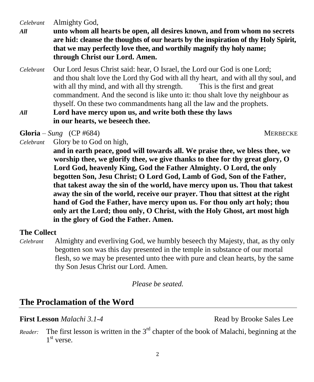*Celebrant* Almighty God,

- *All* **unto whom all hearts be open, all desires known, and from whom no secrets are hid: cleanse the thoughts of our hearts by the inspiration of thy Holy Spirit, that we may perfectly love thee, and worthily magnify thy holy name; through Christ our Lord. Amen.**
- *Celebrant* Our Lord Jesus Christ said: hear, O Israel, the Lord our God is one Lord; and thou shalt love the Lord thy God with all thy heart, and with all thy soul, and with all thy mind, and with all thy strength. This is the first and great commandment. And the second is like unto it: thou shalt love thy neighbour as thyself. On these two commandments hang all the law and the prophets.
- *All* **Lord have mercy upon us, and write both these thy laws in our hearts, we beseech thee.**
- **Gloria**  *Sung* (CP #684)MERBECKE

*Celebrant* Glory be to God on high,

**and in earth peace, good will towards all. We praise thee, we bless thee, we worship thee, we glorify thee, we give thanks to thee for thy great glory, O Lord God, heavenly King, God the Father Almighty. O Lord, the only begotten Son, Jesu Christ; O Lord God, Lamb of God, Son of the Father, that takest away the sin of the world, have mercy upon us. Thou that takest away the sin of the world, receive our prayer. Thou that sittest at the right hand of God the Father, have mercy upon us. For thou only art holy; thou only art the Lord; thou only, O Christ, with the Holy Ghost, art most high in the glory of God the Father. Amen.**

#### **The Collect**

*Celebrant* Almighty and everliving God, we humbly beseech thy Majesty, that, as thy only begotten son was this day presented in the temple in substance of our mortal flesh, so we may be presented unto thee with pure and clean hearts, by the same thy Son Jesus Christ our Lord. Amen.

*Please be seated.*

# **The Proclamation of the Word**

**First Lesson** *Malachi 3.1-4* **Read by Brooke Sales Lee** 

Reader: The first lesson is written in the 3<sup>rd</sup> chapter of the book of Malachi, beginning at the 1<sup>st</sup> verse.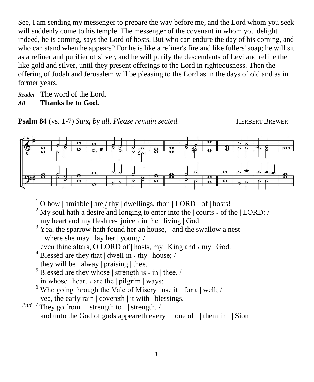See, I am sending my messenger to prepare the way before me, and the Lord whom you seek will suddenly come to his temple. The messenger of the covenant in whom you delight indeed, he is coming, says the Lord of hosts. But who can endure the day of his coming, and who can stand when he appears? For he is like a refiner's fire and like fullers' soap; he will sit as a refiner and purifier of silver, and he will purify the descendants of Levi and refine them like gold and silver, until they present offerings to the Lord in righteousness. Then the offering of Judah and Jerusalem will be pleasing to the Lord as in the days of old and as in former years.

*Reader* The word of the Lord. *All* **Thanks be to God.**





- $1$  O how | amiable | are / thy | dwellings, thou | LORD of | hosts! l,
- <sup>2</sup> My soul hath a desire and longing to enter into the | courts  $\cdot$  of the | LORD: / my heart and my flesh re- $|i\rangle$  ioice  $\cdot$  in the  $|i\rangle$  living  $|G$  od.
- <sup>3</sup> Yea, the sparrow hath found her an house, and the swallow a nest where she may | lay her | young: /
- even thine altars, O LORD of  $|$  hosts, my  $|$  King and  $\cdot$  my  $|$  God.
- Blesséd are they that  $|\text{dwell in } \cdot \text{thy }|$  house; /
- they will be  $|$  alway  $|$  praising  $|$  thee.
- <sup>5</sup> Blesséd are they whose | strength is  $\cdot$  in | thee, / in whose  $|\text{heart} \cdot \text{are the }|\text{pilgrim} \cdot \text{ways}|$ ;
- <sup>6</sup> Who going through the Vale of Misery | use it  $\cdot$  for a | well; /
- yea, the early rain | covereth | it with | blessings.
- $^{2nd}$ <sup>7</sup>They go from | strength to | strength, / and unto the God of gods appeareth every  $|$  one of  $|$  them in  $|$  Sion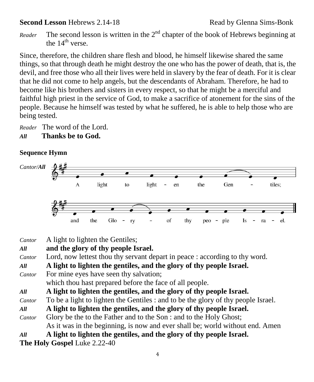**Second Lesson** Hebrews 2.14-18 Read by Glenna Sims-Bonk

*Reader* The second lesson is written in the  $2<sup>nd</sup>$  chapter of the book of Hebrews beginning at the  $14^{\text{th}}$  verse.

Since, therefore, the children share flesh and blood, he himself likewise shared the same things, so that through death he might destroy the one who has the power of death, that is, the devil, and free those who all their lives were held in slavery by the fear of death. For it is clear that he did not come to help angels, but the descendants of Abraham. Therefore, he had to become like his brothers and sisters in every respect, so that he might be a merciful and faithful high priest in the service of God, to make a sacrifice of atonement for the sins of the people. Because he himself was tested by what he suffered, he is able to help those who are being tested.

*Reader* The word of the Lord. *All* **Thanks be to God.**

## **Sequence Hymn**



- *Cantor* A light to lighten the Gentiles;
- *All* **and the glory of thy people Israel.**
- *Cantor* Lord, now lettest thou thy servant depart in peace : according to thy word.
- *All* **A light to lighten the gentiles, and the glory of thy people Israel.**
- *Cantor* For mine eyes have seen thy salvation;

which thou hast prepared before the face of all people.

- *All* **A light to lighten the gentiles, and the glory of thy people Israel.**
- *Cantor* To be a light to lighten the Gentiles : and to be the glory of thy people Israel.
- *All* **A light to lighten the gentiles, and the glory of thy people Israel.**
- *Cantor* Glory be the to the Father and to the Son : and to the Holy Ghost; As it was in the beginning, is now and ever shall be; world without end. Amen
- *All* **A light to lighten the gentiles, and the glory of thy people Israel.**
- **The Holy Gospel** Luke 2.22-40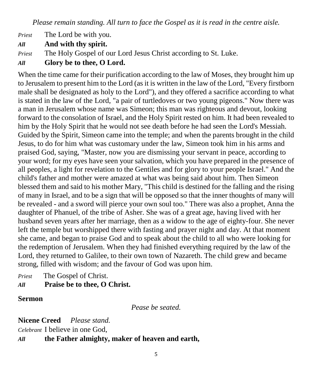*Please remain standing. All turn to face the Gospel as it is read in the centre aisle.*

*Priest* The Lord be with you.

*All* **And with thy spirit.**

*Priest* The Holy Gospel of our Lord Jesus Christ according to St. Luke.

### *All* **Glory be to thee, O Lord.**

When the time came for their purification according to the law of Moses, they brought him up to Jerusalem to present him to the Lord (as it is written in the law of the Lord, "Every firstborn male shall be designated as holy to the Lord"), and they offered a sacrifice according to what is stated in the law of the Lord, "a pair of turtledoves or two young pigeons." Now there was a man in Jerusalem whose name was Simeon; this man was righteous and devout, looking forward to the consolation of Israel, and the Holy Spirit rested on him. It had been revealed to him by the Holy Spirit that he would not see death before he had seen the Lord's Messiah. Guided by the Spirit, Simeon came into the temple; and when the parents brought in the child Jesus, to do for him what was customary under the law, Simeon took him in his arms and praised God, saying, "Master, now you are dismissing your servant in peace, according to your word; for my eyes have seen your salvation, which you have prepared in the presence of all peoples, a light for revelation to the Gentiles and for glory to your people Israel." And the child's father and mother were amazed at what was being said about him. Then Simeon blessed them and said to his mother Mary, "This child is destined for the falling and the rising of many in Israel, and to be a sign that will be opposed so that the inner thoughts of many will be revealed - and a sword will pierce your own soul too." There was also a prophet, Anna the daughter of Phanuel, of the tribe of Asher. She was of a great age, having lived with her husband seven years after her marriage, then as a widow to the age of eighty-four. She never left the temple but worshipped there with fasting and prayer night and day. At that moment she came, and began to praise God and to speak about the child to all who were looking for the redemption of Jerusalem. When they had finished everything required by the law of the Lord, they returned to Galilee, to their own town of Nazareth. The child grew and became strong, filled with wisdom; and the favour of God was upon him.

*Priest* The Gospel of Christ. *All* **Praise be to thee, O Christ.**

#### **Sermon**

*Pease be seated.*

**Nicene Creed** *Please stand. Celebrant* I believe in one God, *All* **the Father almighty, maker of heaven and earth,**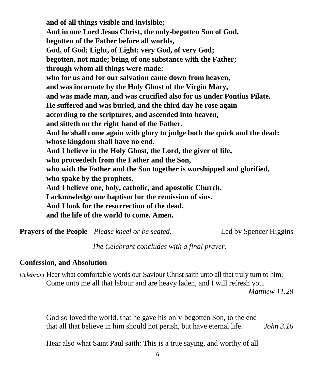**and of all things visible and invisible; And in one Lord Jesus Christ, the only-begotten Son of God, begotten of the Father before all worlds, God, of God; Light, of Light; very God, of very God; begotten, not made; being of one substance with the Father; through whom all things were made: who for us and for our salvation came down from heaven, and was incarnate by the Holy Ghost of the Virgin Mary, and was made man, and was crucified also for us under Pontius Pilate. He suffered and was buried, and the third day he rose again according to the scriptures, and ascended into heaven, and sitteth on the right hand of the Father. And he shall come again with glory to judge both the quick and the dead: whose kingdom shall have no end. And I believe in the Holy Ghost, the Lord, the giver of life, who proceedeth from the Father and the Son, who with the Father and the Son together is worshipped and glorified, who spake by the prophets. And I believe one, holy, catholic, and apostolic Church. I acknowledge one baptism for the remission of sins. And I look for the resurrection of the dead, and the life of the world to come. Amen.**

**Prayers of the People** *Please kneel or be seated.* Led by Spencer Higgins

*The Celebrant concludes with a final prayer.*

#### **Confession, and Absolution**

*Celebrant* Hear what comfortable words our Saviour Christ saith unto all that truly turn to him: Come unto me all that labour and are heavy laden, and I will refresh you.

*Matthew 11.28*

God so loved the world, that he gave his only-begotten Son, to the end that all that believe in him should not perish, but have eternal life. *John 3.16*

Hear also what Saint Paul saith: This is a true saying, and worthy of all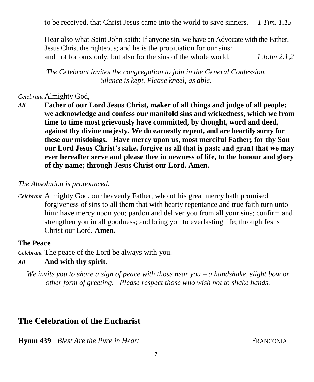to be received, that Christ Jesus came into the world to save sinners. *1 Tim. 1.15*

Hear also what Saint John saith: If anyone sin, we have an Advocate with the Father, Jesus Christ the righteous; and he is the propitiation for our sins: and not for ours only, but also for the sins of the whole world. *1 John 2.1,2*

*The Celebrant invites the congregation to join in the General Confession. Silence is kept. Please kneel, as able.*

#### *Celebrant* Almighty God,

*All* **Father of our Lord Jesus Christ, maker of all things and judge of all people: we acknowledge and confess our manifold sins and wickedness, which we from time to time most grievously have committed, by thought, word and deed, against thy divine majesty. We do earnestly repent, and are heartily sorry for these our misdoings. Have mercy upon us, most merciful Father; for thy Son our Lord Jesus Christ's sake, forgive us all that is past; and grant that we may ever hereafter serve and please thee in newness of life, to the honour and glory of thy name; through Jesus Christ our Lord. Amen.**

#### *The Absolution is pronounced.*

*Celebrant* Almighty God, our heavenly Father, who of his great mercy hath promised forgiveness of sins to all them that with hearty repentance and true faith turn unto him: have mercy upon you; pardon and deliver you from all your sins; confirm and strengthen you in all goodness; and bring you to everlasting life; through Jesus Christ our Lord. **Amen.** 

#### **The Peace**

*Celebrant* The peace of the Lord be always with you.

#### *All* **And with thy spirit.**

*We invite you to share a sign of peace with those near you – a handshake, slight bow or other form of greeting. Please respect those who wish not to shake hands.*

# **The Celebration of the Eucharist**

**Hymn 439** *Blest Are the Pure in Heart* FRANCONIA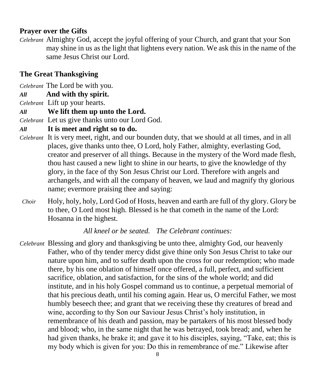### **Prayer over the Gifts**

*Celebrant* Almighty God, accept the joyful offering of your Church, and grant that your Son may shine in us as the light that lightens every nation. We ask this in the name of the same Jesus Christ our Lord.

## **The Great Thanksgiving**

*Celebrant* The Lord be with you.

- *All* **And with thy spirit.**
- *Celebrant* Lift up your hearts.
- *All* **We lift them up unto the Lord.**
- *Celebrant* Let us give thanks unto our Lord God.

#### *All* **It is meet and right so to do.**

- *Celebrant* It is very meet, right, and our bounden duty, that we should at all times, and in all places, give thanks unto thee, O Lord, holy Father, almighty, everlasting God, creator and preserver of all things. Because in the mystery of the Word made flesh, thou hast caused a new light to shine in our hearts, to give the knowledge of thy glory, in the face of thy Son Jesus Christ our Lord. Therefore with angels and archangels, and with all the company of heaven, we laud and magnify thy glorious name; evermore praising thee and saying:
- *Choir* Holy, holy, holy, Lord God of Hosts, heaven and earth are full of thy glory. Glory be to thee, O Lord most high. Blessed is he that cometh in the name of the Lord: Hosanna in the highest.

*All kneel or be seated. The Celebrant continues:*

*Celebrant* Blessing and glory and thanksgiving be unto thee, almighty God, our heavenly Father, who of thy tender mercy didst give thine only Son Jesus Christ to take our nature upon him, and to suffer death upon the cross for our redemption; who made there, by his one oblation of himself once offered, a full, perfect, and sufficient sacrifice, oblation, and satisfaction, for the sins of the whole world; and did institute, and in his holy Gospel command us to continue, a perpetual memorial of that his precious death, until his coming again. Hear us, O merciful Father, we most humbly beseech thee; and grant that we receiving these thy creatures of bread and wine, according to thy Son our Saviour Jesus Christ's holy institution, in remembrance of his death and passion, may be partakers of his most blessed body and blood; who, in the same night that he was betrayed, took bread; and, when he had given thanks, he brake it; and gave it to his disciples, saying, "Take, eat; this is my body which is given for you: Do this in remembrance of me." Likewise after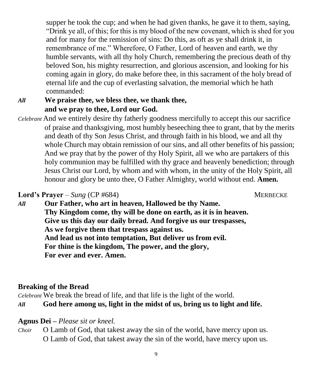supper he took the cup; and when he had given thanks, he gave it to them, saying, "Drink ye all, of this; for this is my blood of the new covenant, which is shed for you and for many for the remission of sins: Do this, as oft as ye shall drink it, in remembrance of me." Wherefore, O Father, Lord of heaven and earth, we thy humble servants, with all thy holy Church, remembering the precious death of thy beloved Son, his mighty resurrection, and glorious ascension, and looking for his coming again in glory, do make before thee, in this sacrament of the holy bread of eternal life and the cup of everlasting salvation, the memorial which he hath commanded:

## *All* **We praise thee, we bless thee, we thank thee, and we pray to thee, Lord our God.**

*Celebrant* And we entirely desire thy fatherly goodness mercifully to accept this our sacrifice of praise and thanksgiving, most humbly beseeching thee to grant, that by the merits and death of thy Son Jesus Christ, and through faith in his blood, we and all thy whole Church may obtain remission of our sins, and all other benefits of his passion; And we pray that by the power of thy Holy Spirit, all we who are partakers of this holy communion may be fulfilled with thy grace and heavenly benediction; through Jesus Christ our Lord, by whom and with whom, in the unity of the Holy Spirit, all honour and glory be unto thee, O Father Almighty, world without end. **Amen.**

#### **Lord's Prayer** – *Sung* (CP #684) **MERBECKE**

*All* **Our Father, who art in heaven, Hallowed be thy Name. Thy Kingdom come, thy will be done on earth, as it is in heaven. Give us this day our daily bread. And forgive us our trespasses, As we forgive them that trespass against us. And lead us not into temptation, But deliver us from evil. For thine is the kingdom, The power, and the glory, For ever and ever. Amen.**

# **Breaking of the Bread**

*Celebrant* We break the bread of life, and that life is the light of the world.

*All* **God here among us, light in the midst of us, bring us to light and life.**

# **Agnus Dei –** *Please sit or kneel.*

*Choir* O Lamb of God, that takest away the sin of the world, have mercy upon us. O Lamb of God, that takest away the sin of the world, have mercy upon us.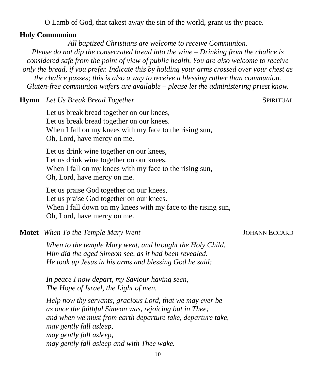O Lamb of God, that takest away the sin of the world, grant us thy peace.

#### **Holy Communion**

*All baptized Christians are welcome to receive Communion. Please do not dip the consecrated bread into the wine – Drinking from the chalice is considered safe from the point of view of public health. You are also welcome to receive only the bread, if you prefer. Indicate this by holding your arms crossed over your chest as the chalice passes; this is also a way to receive a blessing rather than communion. Gluten-free communion wafers are available – please let the administering priest know.*

**Hymn** *Let Us Break Bread Together* SPIRITUAL

Let us break bread together on our knees, Let us break bread together on our knees. When I fall on my knees with my face to the rising sun, Oh, Lord, have mercy on me.

Let us drink wine together on our knees, Let us drink wine together on our knees. When I fall on my knees with my face to the rising sun, Oh, Lord, have mercy on me.

Let us praise God together on our knees, Let us praise God together on our knees. When I fall down on my knees with my face to the rising sun, Oh, Lord, have mercy on me.

**Motet** *When To the Temple Mary Went* **JOHANN ECCARD** 

*When to the temple Mary went, and brought the Holy Child, Him did the aged Simeon see, as it had been revealed. He took up Jesus in his arms and blessing God he said:*

*In peace I now depart, my Saviour having seen, The Hope of Israel, the Light of men.*

*Help now thy servants, gracious Lord, that we may ever be as once the faithful Simeon was, rejoicing but in Thee; and when we must from earth departure take, departure take, may gently fall asleep, may gently fall asleep, may gently fall asleep and with Thee wake.*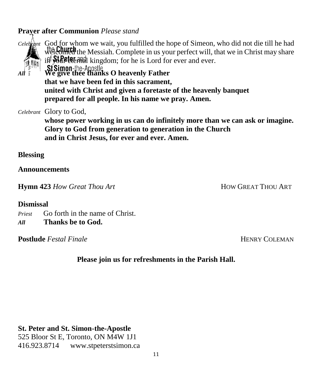## **Prayer after Communion** *Please stand*



*Celebrant* God for whom we wait, you fulfilled the hope of Simeon, who did not die till he had we comed the Messiah. Complete in us your perfect will, that we in Christ may share  $\hat{H}$   $\hat{S}$ **U**  $\hat{E}$   $\hat{E}$   $\hat{H}$  and kingdom; for he is Lord for ever and ever. *All* **We give thee thanks O heavenly Father that we have been fed in this sacrament, united with Christ and given a foretaste of the heavenly banquet prepared for all people. In his name we pray. Amen.**

#### *Celebrant* Glory to God,

**whose power working in us can do infinitely more than we can ask or imagine. Glory to God from generation to generation in the Church and in Christ Jesus, for ever and ever. Amen.**

#### **Blessing**

#### **Announcements**

**Hymn 423** *How Great Thou Art* **HOW GREAT THOU ART** 

#### **Dismissal**

*Priest* Go forth in the name of Christ. *All* **Thanks be to God.**

**Postlude** *Festal Finale* **HENRY COLEMAN** 

#### **Please join us for refreshments in the Parish Hall.**

#### **St. Peter and St. Simon-the-Apostle**

525 Bloor St E, Toronto, ON M4W 1J1 416.923.8714 www.stpeterstsimon.ca